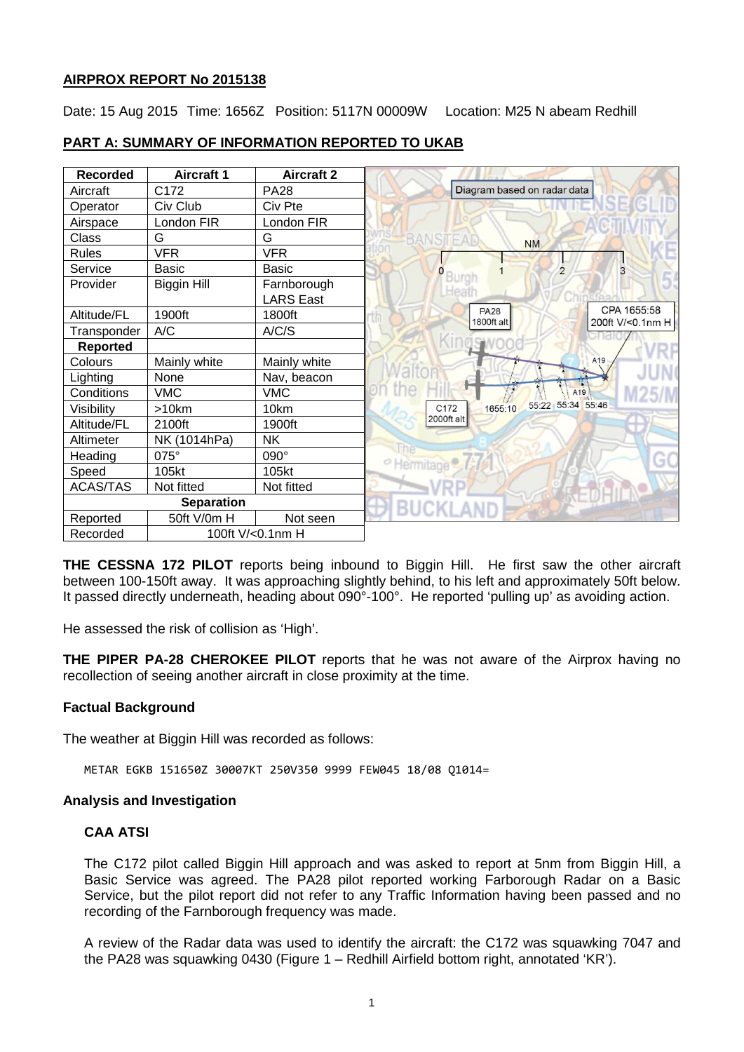### **AIRPROX REPORT No 2015138**

Date: 15 Aug 2015 Time: 1656Z Position: 5117N 00009W Location: M25 N abeam Redhill

| <b>Recorded</b>   | <b>Aircraft 1</b> | <b>Aircraft 2</b>               |                        |                           |                             |                  |
|-------------------|-------------------|---------------------------------|------------------------|---------------------------|-----------------------------|------------------|
| Aircraft          | C172              | <b>PA28</b>                     |                        |                           | Diagram based on radar data |                  |
| Operator          | Civ Club          | Civ Pte                         |                        |                           |                             |                  |
| Airspace          | London FIR        | London FIR                      |                        |                           |                             |                  |
| Class             | G                 | G                               | <b>BANSTEAD</b>        |                           | <b>NM</b>                   |                  |
| <b>Rules</b>      | <b>VFR</b>        | <b>VFR</b>                      |                        |                           |                             |                  |
| Service           | <b>Basic</b>      | <b>Basic</b>                    | Burgi                  |                           | $\overline{2}$              |                  |
| Provider          | Biggin Hill       | Farnborough<br><b>LARS East</b> | Heath                  |                           |                             |                  |
| Altitude/FL       | 1900ft            | 1800ft                          |                        | <b>PA28</b><br>1800ft alt |                             | CPA 1655:58      |
| Transponder       | A/C               | A/C/S                           |                        |                           |                             | 200ft V/<0.1nm H |
| <b>Reported</b>   |                   |                                 |                        |                           |                             |                  |
| Colours           | Mainly white      | Mainly white                    |                        |                           |                             | A19              |
| Lighting          | None              | Nav, beacon                     |                        |                           |                             |                  |
| Conditions        | <b>VMC</b>        | <b>VMC</b>                      |                        |                           | A <sub>19</sub>             |                  |
| Visibility        | >10km             | 10km                            | C172                   | 1655:10                   | 55:22 55:34 55:46           |                  |
| Altitude/FL       | 2100ft            | 1900ft                          | 2000ft alt             |                           |                             |                  |
| Altimeter         | NK (1014hPa)      | <b>NK</b>                       |                        |                           |                             |                  |
| Heading           | 075°              | 090°                            | <sup>o</sup> Hermitage |                           |                             |                  |
| Speed             | 105kt             | 105kt                           |                        |                           |                             |                  |
| <b>ACAS/TAS</b>   | Not fitted        | Not fitted                      |                        |                           |                             |                  |
| <b>Separation</b> |                   |                                 |                        |                           |                             |                  |
| Reported          | 50ft V/0m H       | Not seen                        |                        |                           |                             |                  |
| Recorded          | 100ft V/<0.1nm H  |                                 |                        |                           |                             |                  |

# **PART A: SUMMARY OF INFORMATION REPORTED TO UKAB**

**THE CESSNA 172 PILOT** reports being inbound to Biggin Hill. He first saw the other aircraft between 100-150ft away. It was approaching slightly behind, to his left and approximately 50ft below. It passed directly underneath, heading about 090°-100°. He reported 'pulling up' as avoiding action.

He assessed the risk of collision as 'High'.

**THE PIPER PA-28 CHEROKEE PILOT** reports that he was not aware of the Airprox having no recollection of seeing another aircraft in close proximity at the time.

# **Factual Background**

The weather at Biggin Hill was recorded as follows:

METAR EGKB 151650Z 30007KT 250V350 9999 FEW045 18/08 Q1014=

# **Analysis and Investigation**

# **CAA ATSI**

The C172 pilot called Biggin Hill approach and was asked to report at 5nm from Biggin Hill, a Basic Service was agreed. The PA28 pilot reported working Farborough Radar on a Basic Service, but the pilot report did not refer to any Traffic Information having been passed and no recording of the Farnborough frequency was made.

A review of the Radar data was used to identify the aircraft: the C172 was squawking 7047 and the PA28 was squawking 0430 (Figure 1 – Redhill Airfield bottom right, annotated 'KR').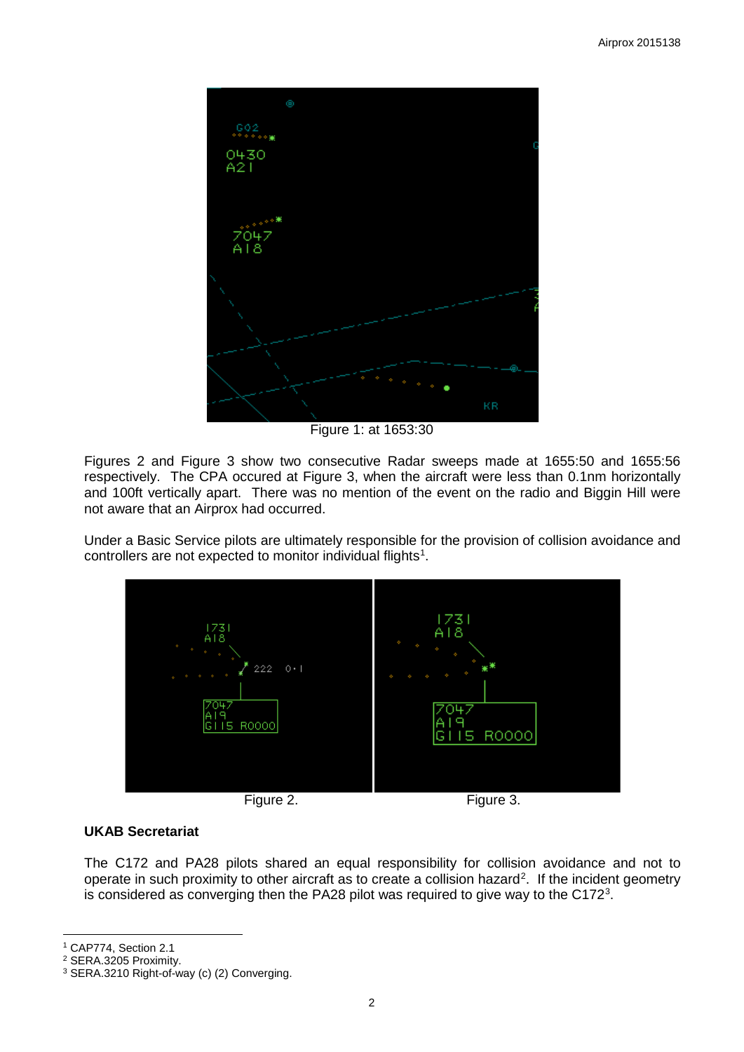

Figure 1: at 1653:30

Figures 2 and Figure 3 show two consecutive Radar sweeps made at 1655:50 and 1655:56 respectively. The CPA occured at Figure 3, when the aircraft were less than 0.1nm horizontally and 100ft vertically apart. There was no mention of the event on the radio and Biggin Hill were not aware that an Airprox had occurred.

Under a Basic Service pilots are ultimately responsible for the provision of collision avoidance and controllers are not expected to monitor individual flights<sup>1</sup>.



### **UKAB Secretariat**

The C172 and PA28 pilots shared an equal responsibility for collision avoidance and not to operate in such proximity to other aircraft as to create a collision hazard<sup>[2](#page-1-1)</sup>. If the incident geometry is considered as converging then the PA28 pilot was required to give way to the C172 $^3$  $^3$ .

 $\overline{\phantom{a}}$ <sup>1</sup> CAP774, Section 2.1

<span id="page-1-1"></span><span id="page-1-0"></span><sup>2</sup> SERA.3205 Proximity.

<span id="page-1-2"></span><sup>3</sup> SERA.3210 Right-of-way (c) (2) Converging.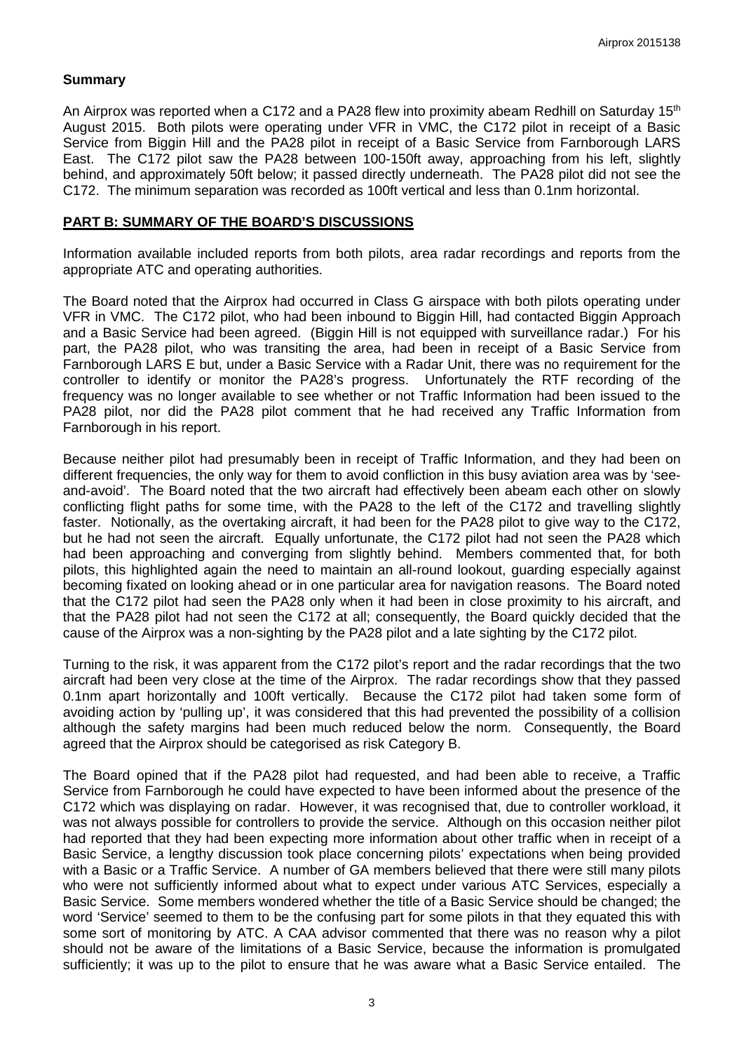#### **Summary**

An Airprox was reported when a C172 and a PA28 flew into proximity abeam Redhill on Saturday 15<sup>th</sup> August 2015. Both pilots were operating under VFR in VMC, the C172 pilot in receipt of a Basic Service from Biggin Hill and the PA28 pilot in receipt of a Basic Service from Farnborough LARS East. The C172 pilot saw the PA28 between 100-150ft away, approaching from his left, slightly behind, and approximately 50ft below; it passed directly underneath. The PA28 pilot did not see the C172. The minimum separation was recorded as 100ft vertical and less than 0.1nm horizontal.

#### **PART B: SUMMARY OF THE BOARD'S DISCUSSIONS**

Information available included reports from both pilots, area radar recordings and reports from the appropriate ATC and operating authorities.

The Board noted that the Airprox had occurred in Class G airspace with both pilots operating under VFR in VMC. The C172 pilot, who had been inbound to Biggin Hill, had contacted Biggin Approach and a Basic Service had been agreed. (Biggin Hill is not equipped with surveillance radar.) For his part, the PA28 pilot, who was transiting the area, had been in receipt of a Basic Service from Farnborough LARS E but, under a Basic Service with a Radar Unit, there was no requirement for the controller to identify or monitor the PA28's progress. Unfortunately the RTF recording of the frequency was no longer available to see whether or not Traffic Information had been issued to the PA28 pilot, nor did the PA28 pilot comment that he had received any Traffic Information from Farnborough in his report.

Because neither pilot had presumably been in receipt of Traffic Information, and they had been on different frequencies, the only way for them to avoid confliction in this busy aviation area was by 'seeand-avoid'. The Board noted that the two aircraft had effectively been abeam each other on slowly conflicting flight paths for some time, with the PA28 to the left of the C172 and travelling slightly faster. Notionally, as the overtaking aircraft, it had been for the PA28 pilot to give way to the C172, but he had not seen the aircraft. Equally unfortunate, the C172 pilot had not seen the PA28 which had been approaching and converging from slightly behind. Members commented that, for both pilots, this highlighted again the need to maintain an all-round lookout, guarding especially against becoming fixated on looking ahead or in one particular area for navigation reasons. The Board noted that the C172 pilot had seen the PA28 only when it had been in close proximity to his aircraft, and that the PA28 pilot had not seen the C172 at all; consequently, the Board quickly decided that the cause of the Airprox was a non-sighting by the PA28 pilot and a late sighting by the C172 pilot.

Turning to the risk, it was apparent from the C172 pilot's report and the radar recordings that the two aircraft had been very close at the time of the Airprox. The radar recordings show that they passed 0.1nm apart horizontally and 100ft vertically. Because the C172 pilot had taken some form of avoiding action by 'pulling up', it was considered that this had prevented the possibility of a collision although the safety margins had been much reduced below the norm. Consequently, the Board agreed that the Airprox should be categorised as risk Category B.

The Board opined that if the PA28 pilot had requested, and had been able to receive, a Traffic Service from Farnborough he could have expected to have been informed about the presence of the C172 which was displaying on radar. However, it was recognised that, due to controller workload, it was not always possible for controllers to provide the service. Although on this occasion neither pilot had reported that they had been expecting more information about other traffic when in receipt of a Basic Service, a lengthy discussion took place concerning pilots' expectations when being provided with a Basic or a Traffic Service. A number of GA members believed that there were still many pilots who were not sufficiently informed about what to expect under various ATC Services, especially a Basic Service. Some members wondered whether the title of a Basic Service should be changed; the word 'Service' seemed to them to be the confusing part for some pilots in that they equated this with some sort of monitoring by ATC. A CAA advisor commented that there was no reason why a pilot should not be aware of the limitations of a Basic Service, because the information is promulgated sufficiently; it was up to the pilot to ensure that he was aware what a Basic Service entailed. The